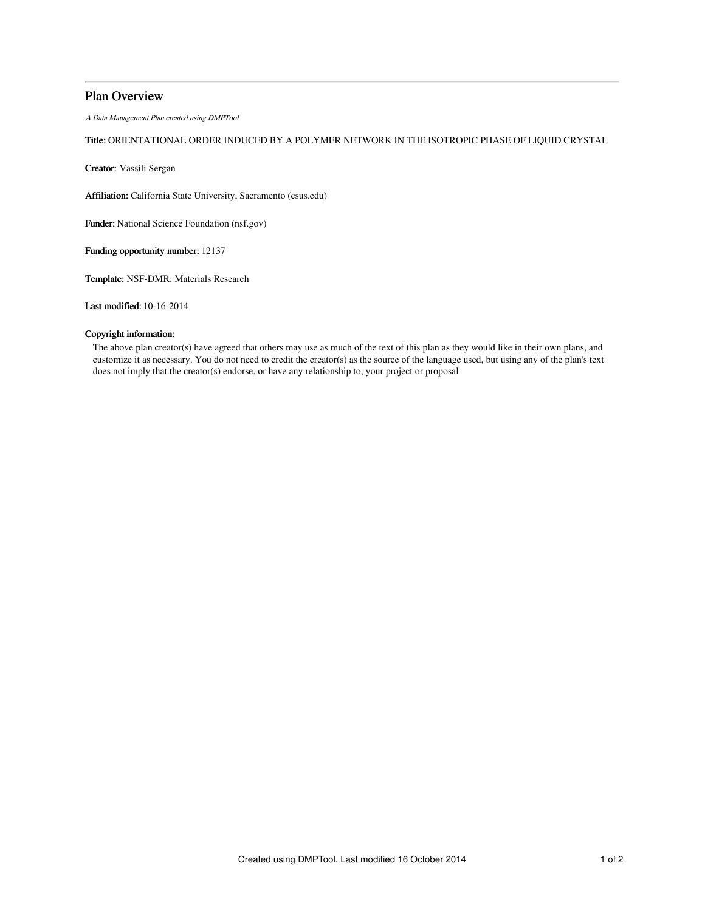# Plan Overview

A Data Management Plan created using DMPTool

# Title: ORIENTATIONAL ORDER INDUCED BY A POLYMER NETWORK IN THE ISOTROPIC PHASE OF LIQUID CRYSTAL

Creator: Vassili Sergan

Affiliation: California State University, Sacramento (csus.edu)

Funder: National Science Foundation (nsf.gov)

Funding opportunity number: 12137

Template: NSF-DMR: Materials Research

Last modified: 10-16-2014

## Copyright information:

The above plan creator(s) have agreed that others may use as much of the text of this plan as they would like in their own plans, and customize it as necessary. You do not need to credit the creator(s) as the source of the language used, but using any of the plan's text does not imply that the creator(s) endorse, or have any relationship to, your project or proposal